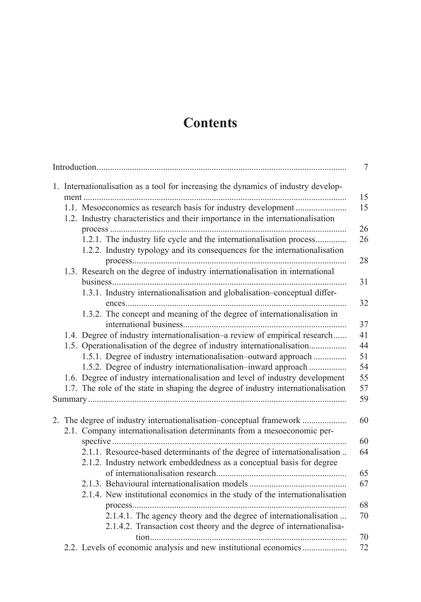## **Contents**

| 1.1. Mesoeconomics as research basis for industry development<br>1.2. Industry characteristics and their importance in the internationalisation            |
|------------------------------------------------------------------------------------------------------------------------------------------------------------|
|                                                                                                                                                            |
| 1.2.1. The industry life cycle and the internationalisation process<br>1.2.2. Industry typology and its consequences for the internationalisation          |
| 1.3. Research on the degree of industry internationalisation in international<br>1.3.1. Industry internationalisation and globalisation-conceptual differ- |
| 1.3.2. The concept and meaning of the degree of internationalisation in                                                                                    |
| 1.4. Degree of industry internationalisation-a review of empirical research                                                                                |
| 1.5. Operationalisation of the degree of industry internationalisation<br>1.5.1. Degree of industry internationalisation-outward approach                  |
| 1.5.2. Degree of industry internationalisation-inward approach<br>1.6. Degree of industry internationalisation and level of industry development           |
| 1.7. The role of the state in shaping the degree of industry internationalisation                                                                          |
|                                                                                                                                                            |
| 2. The degree of industry internationalisation-conceptual framework                                                                                        |
| 2.1. Company internationalisation determinants from a mesoeconomic per-                                                                                    |
| 2.1.1. Resource-based determinants of the degree of internationalisation                                                                                   |
| 2.1.2. Industry network embeddedness as a conceptual basis for degree                                                                                      |
|                                                                                                                                                            |
| 2.1.4. New institutional economics in the study of the internationalisation                                                                                |
|                                                                                                                                                            |
| 2.1.4.1. The agency theory and the degree of internationalisation<br>2.1.4.2. Transaction cost theory and the degree of internationalisa-                  |
| 2.2. Levels of economic analysis and new institutional economics                                                                                           |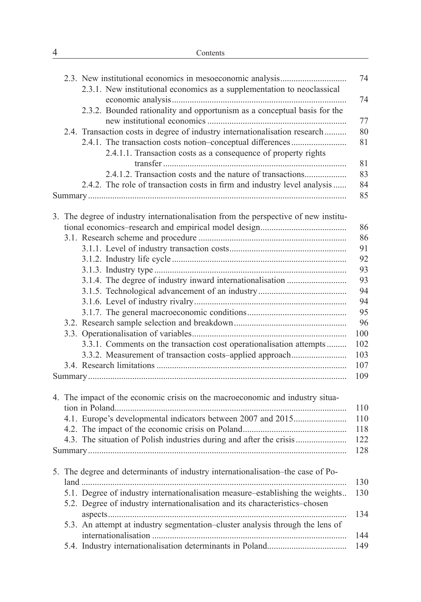|  | 2.3.1. New institutional economics as a supplementation to neoclassical                                                                  |          |
|--|------------------------------------------------------------------------------------------------------------------------------------------|----------|
|  | 2.3.2. Bounded rationality and opportunism as a conceptual basis for the                                                                 | 74<br>77 |
|  | 2.4. Transaction costs in degree of industry internationalisation research<br>2.4.1. The transaction costs notion-conceptual differences | 80<br>81 |
|  | 2.4.1.1. Transaction costs as a consequence of property rights                                                                           | 81       |
|  | 2.4.1.2. Transaction costs and the nature of transactions                                                                                | 83       |
|  | 2.4.2. The role of transaction costs in firm and industry level analysis                                                                 | 84<br>85 |
|  | 3. The degree of industry internationalisation from the perspective of new institu-                                                      |          |
|  |                                                                                                                                          | 86       |
|  |                                                                                                                                          | 86       |
|  |                                                                                                                                          | 91       |
|  |                                                                                                                                          | 92       |
|  |                                                                                                                                          | 93       |
|  | 3.1.4. The degree of industry inward internationalisation                                                                                | 93       |
|  |                                                                                                                                          | 94       |
|  |                                                                                                                                          | 94       |
|  |                                                                                                                                          | 95       |
|  |                                                                                                                                          | 96       |
|  |                                                                                                                                          | 100      |
|  | 3.3.1. Comments on the transaction cost operationalisation attempts                                                                      | 102      |
|  | 3.3.2. Measurement of transaction costs-applied approach                                                                                 | 103      |
|  |                                                                                                                                          | 107      |
|  |                                                                                                                                          | 109      |
|  | 4. The impact of the economic crisis on the macroeconomic and industry situa-                                                            | 110      |
|  | 4.1. Europe's developmental indicators between 2007 and 2015                                                                             | 110      |
|  |                                                                                                                                          | 118      |
|  | 4.3. The situation of Polish industries during and after the crisis                                                                      | 122      |
|  |                                                                                                                                          | 128      |
|  | 5. The degree and determinants of industry internationalisation–the case of Po-                                                          | 130      |
|  | 5.1. Degree of industry internationalisation measure-establishing the weights                                                            | 130      |
|  | 5.2. Degree of industry internationalisation and its characteristics-chosen                                                              | 134      |
|  | 5.3. An attempt at industry segmentation-cluster analysis through the lens of                                                            | 144      |
|  |                                                                                                                                          | 149      |